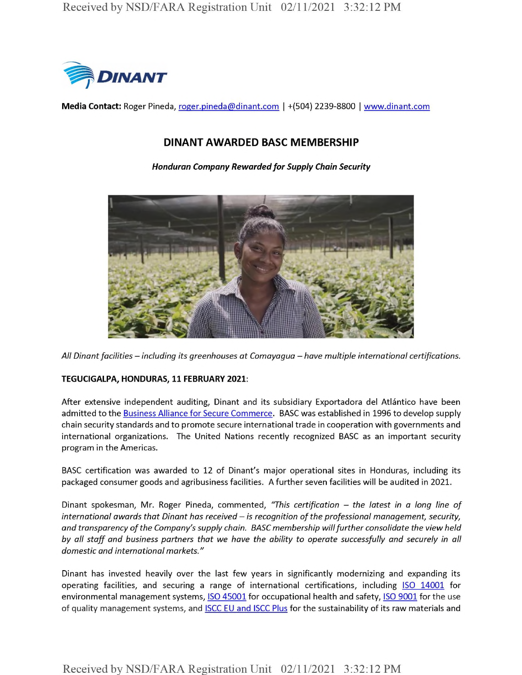

**Media Contact:** Roger Pineda, roger.pineda@dinant.com | +(504) 2239-8800 | www.dinant.com

# DINANT AWARDED BASC MEMBERSHIP

*Honduran Company Rewardedfor Supply Chain Security*



*All Dinantfacilities -including its greenhouses at Comayagua - have multiple international certifications.*

### **TEGUCIGALPA, HONDURAS, 11 FEBRUARY 2021:**

After extensive independent auditing, Dinant and its subsidiary Exportadora del Atlántico have been admitted to the Business Alliance for Secure Commerce. BASC was established in 1996 to develop supply chain security standards and to promote secure international trade in cooperation with governments and international organizations. The United Nations recently recognized BASC as an important security program in the Americas.

BASC certification was awarded to 12 of Dinant's major operational sites in Honduras, including its packaged consumer goods and agribusiness facilities. A further seven facilities will be audited in 2021.

Dinant spokesman, Mr. Roger Pineda, commented, *"This certification - the latest in <sup>a</sup> long line of international awards that Dinant has received -is recognition of the professional management, security, and transparency ofthe Company'ssupply chain. BASC membership willfurther consolidate the viewheld by all staff and business partners that we have the ability to operate successfully and securely in all domestic and international markets."*

Dinant has invested heavily over the last few years in significantly modernizing and expanding its operating facilities, and securing a range of international certifications, including ISO 14001 for environmental management systems, **ISO 45001** for occupational health and safety, **ISO 9001** for the use of quality management systems, and **ISCC EU and ISCC Plus** for the sustainability of its raw materials and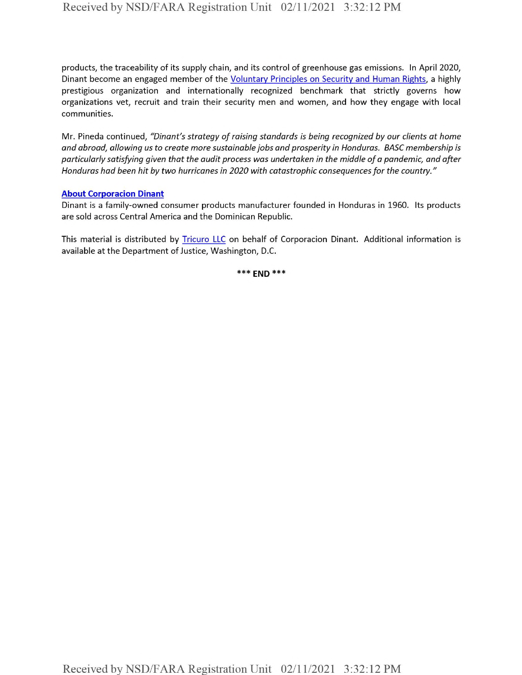products, the traceability of its supply chain, and its control of greenhouse gas emissions. In April 2020, Dinant become an engaged member of the Voluntary Principles on Security and Human Rights, a highly prestigious organization and internationally recognized benchmark that strictly governs how organizations vet, recruit and train their security men and women, and how they engage with local communities.

Mr. Pineda continued, *"Dinant's strategy ofraising standards is being recognized by our clients at home and abroad, allowing us to create more sustainable jobs and prosperity in Honduras. BASC membership is particularly satisfying given that the audit process was undertaken in the middle ofa pandemic, and after Honduras had been hit by two hurricanes in 2020 with catastrophic consequencesfor the country."*

#### **About Corporacion Dinant**

Dinant is a family-owned consumer products manufacturer founded in Honduras in 1960. Its products are sold across Central America and the Dominican Republic.

This material is distributed by **Tricuro LLC** on behalf of Corporacion Dinant. Additional information is available at the Department of Justice, Washington, D.C.

**\*\*\* end \*\*\***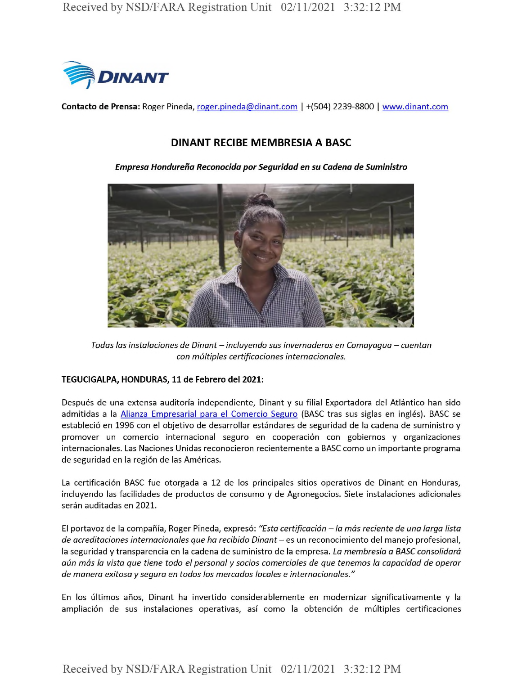

**Contacto de Prensa:** Roger Pineda, roger.pineda@dinant.com <sup>|</sup> +(504) 2239-8800 <sup>|</sup> www.dinant.com

## DINANT RECIBE MEMBRESIA A BASC

*Empresa Hondureha Reconocida por Seguridad en su Cadena de Suministro*



*Todas las instalaciones de Dinant*-*incluyendo sus invernaderos en Comayaqua - cuentan con multiples certificaciones internacionales.*

### **TEGUCIGALPA, HONDURAS, 11 de Febrero del 2021:**

Después de una extensa auditoría independiente, Dinant y su filial Exportadora del Atlántico han sido admitidas a la Alianza Empresarial para el Comercio Seguro (BASC tras sus siglas en inglés). BASC se estableció en 1996 con el objetivo de desarrollar estándares de seguridad de la cadena de suministro y promover un comercio internacional seguro en cooperacion con gobiernos y organizaciones internacionales. Las Naciones Unidas reconocieron recientemente a BASC como un importante programa de seguridad en la región de las Américas.

La certificación BASC fue otorgada a 12 de los principales sitios operativos de Dinant en Honduras, incluyendo las facilidades de productos de consumo y de Agronegocios. Siete instalaciones adicionales serán auditadas en 2021.

El portavoz de la companfa, Roger Pineda, expreso: *"Esta certificacion -la mas reciente de una larga lista de acreditaciones internacionales que ha recibido Dinant-* es un reconocimiento del manejo profesional, la seguridad y transparencia en la cadena de suministro de la empresa. *La membresia a BASC consolidara* aún más la vista que tiene todo el personal y socios comerciales de que tenemos la capacidad de operar *de manera exitosa y sequra en todos los mercados locales e internacionales."*

En los últimos años, Dinant ha invertido considerablemente en modernizar significativamente y la ampliación de sus instalaciones operativas, así como la obtención de múltiples certificaciones